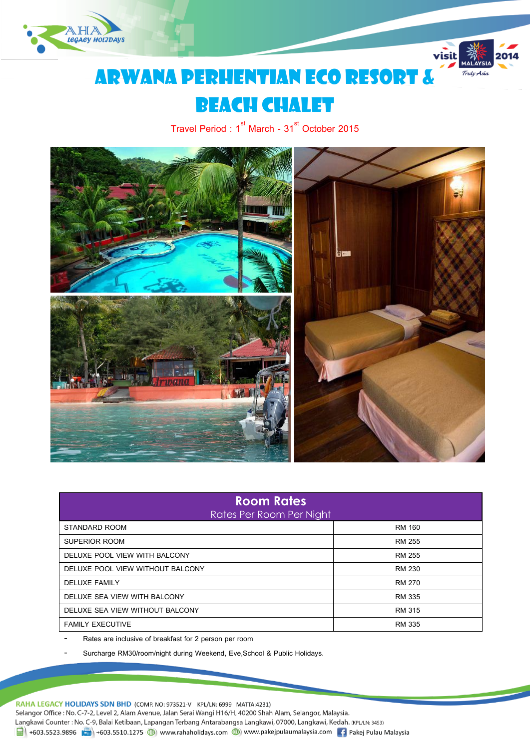



# Arwana Perhentian Eco Resort &

## **BEACH CHALET**

Travel Period :  $1^{\text{st}}$  March - 31 $^{\text{st}}$  October 2015



| <b>Room Rates</b><br><b>Rates Per Room Per Night</b> |               |  |  |  |  |
|------------------------------------------------------|---------------|--|--|--|--|
| STANDARD ROOM                                        | RM 160        |  |  |  |  |
| SUPERIOR ROOM                                        | RM 255        |  |  |  |  |
| DELUXE POOL VIEW WITH BALCONY                        | RM 255        |  |  |  |  |
| DELUXE POOL VIEW WITHOUT BALCONY                     | <b>RM 230</b> |  |  |  |  |
| <b>DELUXE FAMILY</b>                                 | RM 270        |  |  |  |  |
| DELUXE SEA VIEW WITH BALCONY                         | RM 335        |  |  |  |  |
| DELUXE SEA VIEW WITHOUT BALCONY                      | RM 315        |  |  |  |  |
| <b>FAMILY EXECUTIVE</b>                              | <b>RM 335</b> |  |  |  |  |

Rates are inclusive of breakfast for 2 person per room

Surcharge RM30/room/night during Weekend, Eve, School & Public Holidays.

RAHA LEGACY HOLIDAYS SDN BHD (COMP. NO: 973521-V KPL/LN: 6999 MATTA:4231) Selangor Office : No. C-7-2, Level 2, Alam Avenue, Jalan Serai Wangi H16/H, 40200 Shah Alam, Selangor, Malaysia. Langkawi Counter: No. C-9, Balai Ketibaan, Lapangan Terbang Antarabangsa Langkawi, 07000, Langkawi, Kedah. (KPL/LN: 3453)  $\frac{1}{21}$  +603.5523.9896  $\frac{1}{21}$  +603.5510.1275  $\bigoplus$  www.rahaholidays.com  $\bigoplus$  www.pakejpulaumalaysia.com  $\bigoplus$  Pakej Pulau Malaysia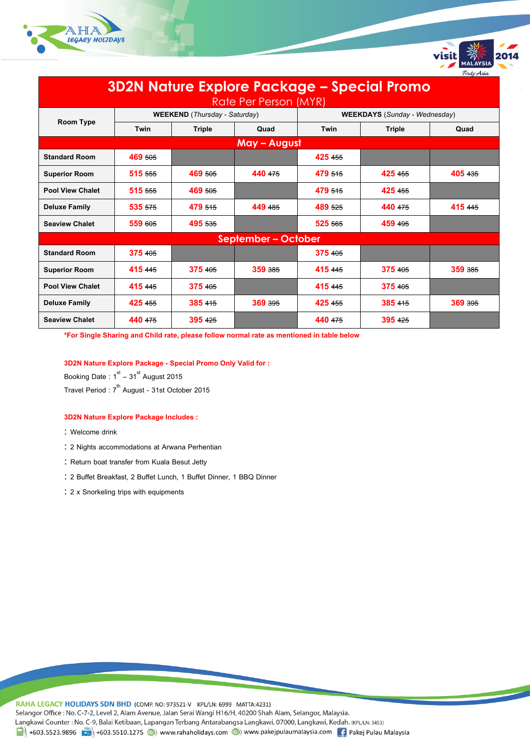



| <b>3D2N Nature Explore Package - Special Promo</b> |         |                                      |              |                                      |         |         |  |  |
|----------------------------------------------------|---------|--------------------------------------|--------------|--------------------------------------|---------|---------|--|--|
| Rate Per Person (MYR)                              |         |                                      |              |                                      |         |         |  |  |
|                                                    |         | <b>WEEKEND</b> (Thursday - Saturday) |              | <b>WEEKDAYS</b> (Sunday - Wednesday) |         |         |  |  |
| Room Type                                          | Twin    | Triple                               | Quad         | Twin                                 | Triple  | Quad    |  |  |
|                                                    |         |                                      | May - August |                                      |         |         |  |  |
| <b>Standard Room</b>                               | 469 505 |                                      |              | 425 455                              |         |         |  |  |
| <b>Superior Room</b>                               | 515 555 | 469 505                              | 440 475      | 479 515                              | 425 455 | 405 435 |  |  |
| <b>Pool View Chalet</b>                            | 515 555 | 469 505                              |              | 479 515                              | 425 455 |         |  |  |
| <b>Deluxe Family</b>                               | 535 575 | 479 515                              | 449 485      | 489 525                              | 440 475 | 415 445 |  |  |
| <b>Seaview Chalet</b>                              | 559 605 | 495 535                              |              | 525 565                              | 459 495 |         |  |  |
| <b>September - October</b>                         |         |                                      |              |                                      |         |         |  |  |
| <b>Standard Room</b>                               | 375 405 |                                      |              | 375 405                              |         |         |  |  |
| <b>Superior Room</b>                               | 415 445 | 375 405                              | 359 385      | 415 445                              | 375 405 | 359 385 |  |  |
| <b>Pool View Chalet</b>                            | 415 445 | 375 405                              |              | 415 445                              | 375 405 |         |  |  |
| <b>Deluxe Family</b>                               | 425 455 | 385 415                              | 369 395      | 425 455                              | 385 415 | 369 395 |  |  |
| <b>Seaview Chalet</b>                              | 440 475 | 395 425                              |              | 440 475                              | 395 425 |         |  |  |

**\*For Single Sharing and Child rate, please follow normal rate as mentioned in table below**

### **3D2N Nature Explore Package - Special Promo Only Valid for :**

Booking Date  $: 1^\text{st} - 31^\text{st}$  August 2015 Travel Period : 7<sup>th</sup> August - 31st October 2015

#### **3D2N Nature Explore Package Includes :**

- : Welcome drink
- 2 Nights accommodations at Arwana Perhentian
- : Return boat transfer from Kuala Besut Jetty
- 2 Buffet Breakfast, 2 Buffet Lunch, 1 Buffet Dinner, 1 BBQ Dinner
- 2 x Snorkeling trips with equipments

RAHA LEGACY HOLIDAYS SDN BHD (COMP. NO: 973521-V KPL/LN: 6999 MATTA:4231) Selangor Office : No. C-7-2, Level 2, Alam Avenue, Jalan Serai Wangi H16/H, 40200 Shah Alam, Selangor, Malaysia. Langkawi Counter: No. C-9, Balai Ketibaan, Lapangan Terbang Antarabangsa Langkawi, 07000, Langkawi, Kedah. (KPL/LN: 3453) 1 +603.5523.9896 + +603.5510.1275 (b) www.rahaholidays.com (b) www.pakejpulaumalaysia.com (f) Pakej Pulau Malaysia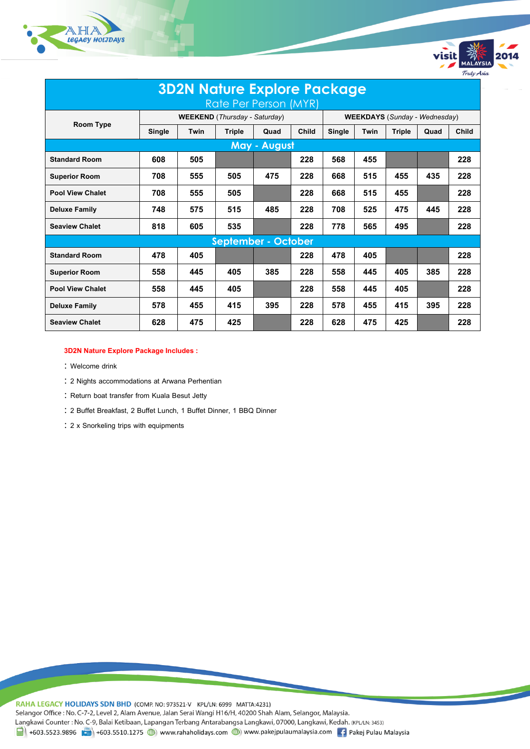



| <b>3D2N Nature Explore Package</b> |                                      |      |               |                     |                                      |        |      |               |      |       |
|------------------------------------|--------------------------------------|------|---------------|---------------------|--------------------------------------|--------|------|---------------|------|-------|
| Rate Per Person (MYR)              |                                      |      |               |                     |                                      |        |      |               |      |       |
| <b>Room Type</b>                   | <b>WEEKEND</b> (Thursday - Saturday) |      |               |                     | <b>WEEKDAYS</b> (Sunday - Wednesday) |        |      |               |      |       |
|                                    | Single                               | Twin | <b>Triple</b> | Quad                | <b>Child</b>                         | Single | Twin | <b>Triple</b> | Quad | Child |
|                                    |                                      |      |               | <b>May - August</b> |                                      |        |      |               |      |       |
| <b>Standard Room</b>               | 608                                  | 505  |               |                     | 228                                  | 568    | 455  |               |      | 228   |
| <b>Superior Room</b>               | 708                                  | 555  | 505           | 475                 | 228                                  | 668    | 515  | 455           | 435  | 228   |
| <b>Pool View Chalet</b>            | 708                                  | 555  | 505           |                     | 228                                  | 668    | 515  | 455           |      | 228   |
| <b>Deluxe Family</b>               | 748                                  | 575  | 515           | 485                 | 228                                  | 708    | 525  | 475           | 445  | 228   |
| <b>Seaview Chalet</b>              | 818                                  | 605  | 535           |                     | 228                                  | 778    | 565  | 495           |      | 228   |
| <b>September - October</b>         |                                      |      |               |                     |                                      |        |      |               |      |       |
| <b>Standard Room</b>               | 478                                  | 405  |               |                     | 228                                  | 478    | 405  |               |      | 228   |
| <b>Superior Room</b>               | 558                                  | 445  | 405           | 385                 | 228                                  | 558    | 445  | 405           | 385  | 228   |
| <b>Pool View Chalet</b>            | 558                                  | 445  | 405           |                     | 228                                  | 558    | 445  | 405           |      | 228   |
| <b>Deluxe Family</b>               | 578                                  | 455  | 415           | 395                 | 228                                  | 578    | 455  | 415           | 395  | 228   |
| <b>Seaview Chalet</b>              | 628                                  | 475  | 425           |                     | 228                                  | 628    | 475  | 425           |      | 228   |

#### **3D2N Nature Explore Package Includes :**

- : Welcome drink
- 2 Nights accommodations at Arwana Perhentian
- : Return boat transfer from Kuala Besut Jetty
- 2 Buffet Breakfast, 2 Buffet Lunch, 1 Buffet Dinner, 1 BBQ Dinner
- 2 x Snorkeling trips with equipments

RAHA LEGACY HOLIDAYS SDN BHD (COMP. NO: 973521-V KPL/LN: 6999 MATTA:4231) Selangor Office : No. C-7-2, Level 2, Alam Avenue, Jalan Serai Wangi H16/H, 40200 Shah Alam, Selangor, Malaysia. Langkawi Counter: No. C-9, Balai Ketibaan, Lapangan Terbang Antarabangsa Langkawi, 07000, Langkawi, Kedah. (KPL/LN: 3453) 1 +603.5523.9896 +603.5510.1275 (b) www.rahaholidays.com (b) www.pakejpulaumalaysia.com + Pakej Pulau Malaysia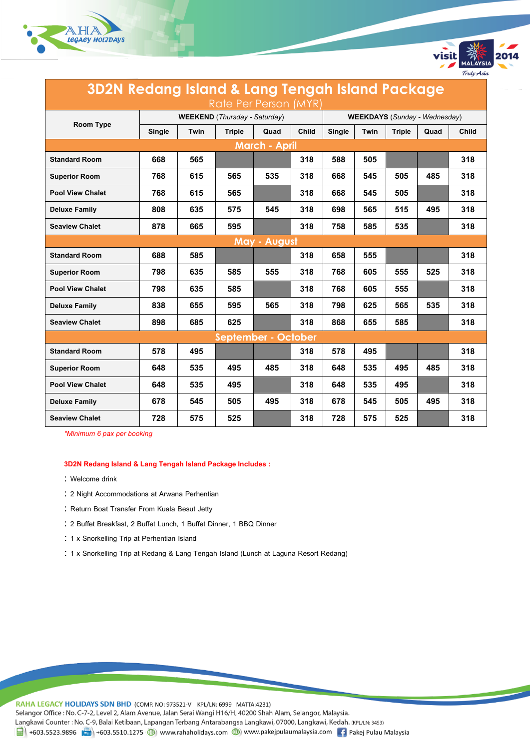



visit

Truly Asia

*\*Minimum 6 pax per booking*

#### **3D2N Redang Island & Lang Tengah Island Package Includes :**

- : Welcome drink
- 2 Night Accommodations at Arwana Perhentian
- : Return Boat Transfer From Kuala Besut Jetty
- 2 Buffet Breakfast, 2 Buffet Lunch, 1 Buffet Dinner, 1 BBQ Dinner
- : 1 x Snorkelling Trip at Perhentian Island
- 1 x Snorkelling Trip at Redang & Lang Tengah Island (Lunch at Laguna Resort Redang)

RAHA LEGACY HOLIDAYS SDN BHD (COMP. NO: 973521-V KPL/LN: 6999 MATTA:4231) Selangor Office : No. C-7-2, Level 2, Alam Avenue, Jalan Serai Wangi H16/H, 40200 Shah Alam, Selangor, Malaysia. Langkawi Counter: No. C-9, Balai Ketibaan, Lapangan Terbang Antarabangsa Langkawi, 07000, Langkawi, Kedah. (KPL/LN: 3453)  $\frac{1}{21}$  +603.5523.9896 + +603.5510.1275 (b) www.rahaholidays.com (b) www.pakejpulaumalaysia.com + Pakej Pulau Malaysia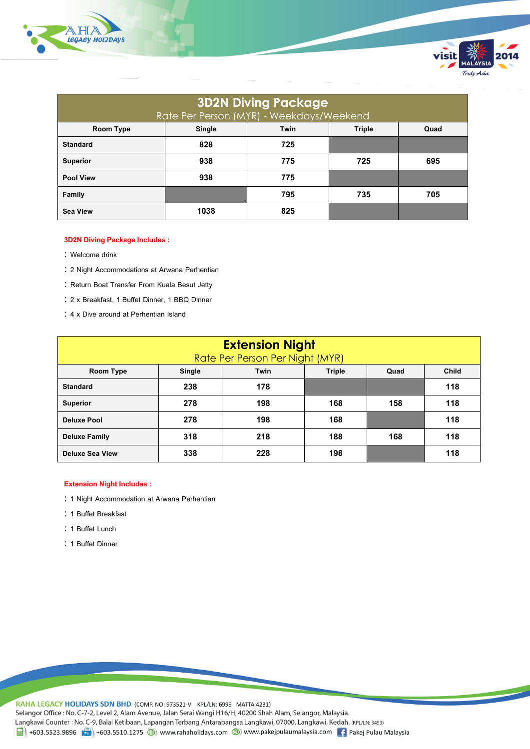

| <b>3D2N Diving Package</b><br>Rate Per Person (MYR) - Weekdays/Weekend |        |      |               |      |  |  |  |
|------------------------------------------------------------------------|--------|------|---------------|------|--|--|--|
| <b>Room Type</b>                                                       | Single | Twin | <b>Triple</b> | Quad |  |  |  |
| <b>Standard</b>                                                        | 828    | 725  |               |      |  |  |  |
| <b>Superior</b>                                                        | 938    | 775  | 725           | 695  |  |  |  |
| <b>Pool View</b>                                                       | 938    | 775  |               |      |  |  |  |
| <b>Family</b>                                                          |        | 795  | 735           | 705  |  |  |  |
| <b>Sea View</b>                                                        | 1038   | 825  |               |      |  |  |  |

visit

Truly Asia

#### **3D2N Diving Package Includes :**

- : Welcome drink
- 2 Night Accommodations at Arwana Perhentian
- : Return Boat Transfer From Kuala Besut Jetty
- 2 x Breakfast, 1 Buffet Dinner, 1 BBQ Dinner
- 4 x Dive around at Perhentian Island

| <b>Extension Night</b><br>Rate Per Person Per Night (MYR) |               |                               |     |     |     |  |  |
|-----------------------------------------------------------|---------------|-------------------------------|-----|-----|-----|--|--|
| Room Type                                                 | <b>Single</b> | <b>Triple</b><br>Twin<br>Quad |     |     |     |  |  |
| <b>Standard</b>                                           | 238           | 178                           |     |     | 118 |  |  |
| <b>Superior</b>                                           | 278           | 198                           | 168 | 158 | 118 |  |  |
| <b>Deluxe Pool</b>                                        | 278           | 198                           | 168 |     | 118 |  |  |
| <b>Deluxe Family</b>                                      | 318           | 218                           | 188 | 168 | 118 |  |  |
| <b>Deluxe Sea View</b>                                    | 338           | 228                           | 198 |     | 118 |  |  |

#### **Extension Night Includes :**

- : 1 Night Accommodation at Arwana Perhentian
- : 1 Buffet Breakfast
- : 1 Buffet Lunch
- : 1 Buffet Dinner

RAHA LEGACY HOLIDAYS SDN BHD (COMP. NO: 973521-V KPL/LN: 6999 MATTA:4231) Selangor Office : No. C-7-2, Level 2, Alam Avenue, Jalan Serai Wangi H16/H, 40200 Shah Alam, Selangor, Malaysia. Langkawi Counter: No. C-9, Balai Ketibaan, Lapangan Terbang Antarabangsa Langkawi, 07000, Langkawi, Kedah. (KPL/LN: 3453) 1 +603.5523.9896 +603.5510.1275 (b) www.rahaholidays.com (b) www.pakejpulaumalaysia.com + Pakej Pulau Malaysia